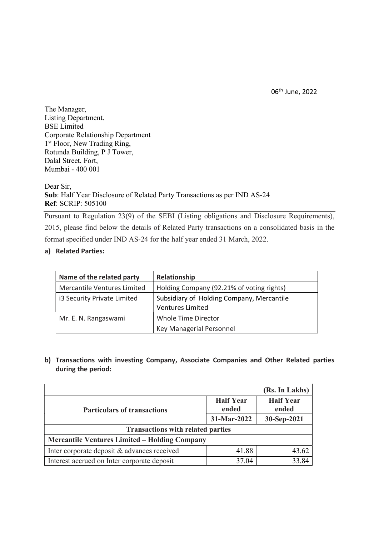06th June, 2022

The Manager, Listing Department. BSE Limited Corporate Relationship Department 1<sup>st</sup> Floor, New Trading Ring, Rotunda Building, P J Tower, Dalal Street, Fort, Mumbai - 400 001

Dear Sir, Sub: Half Year Disclosure of Related Party Transactions as per IND AS-24 Ref: SCRIP: 505100

Pursuant to Regulation 23(9) of the SEBI (Listing obligations and Disclosure Requirements), 2015, please find below the details of Related Party transactions on a consolidated basis in the format specified under IND AS-24 for the half year ended 31 March, 2022.

## a) Related Parties:

| Name of the related party   | Relationship                                                         |
|-----------------------------|----------------------------------------------------------------------|
| Mercantile Ventures Limited | Holding Company (92.21% of voting rights)                            |
| i3 Security Private Limited | Subsidiary of Holding Company, Mercantile<br><b>Ventures Limited</b> |
| Mr. E. N. Rangaswami        | Whole Time Director                                                  |
|                             | Key Managerial Personnel                                             |

b) Transactions with investing Company, Associate Companies and Other Related parties during the period:

|                                                      |                           | (Rs. In Lakhs)            |  |  |
|------------------------------------------------------|---------------------------|---------------------------|--|--|
| <b>Particulars of transactions</b>                   | <b>Half Year</b><br>ended | <b>Half Year</b><br>ended |  |  |
|                                                      | 31-Mar-2022               | 30-Sep-2021               |  |  |
| <b>Transactions with related parties</b>             |                           |                           |  |  |
| <b>Mercantile Ventures Limited - Holding Company</b> |                           |                           |  |  |
| Inter corporate deposit & advances received          | 41.88                     | 43.62                     |  |  |
| Interest accrued on Inter corporate deposit          | 37.04                     | 33.84                     |  |  |